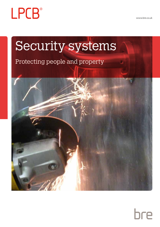

www.bre.co.uk

# Security systems

# Protecting people and property



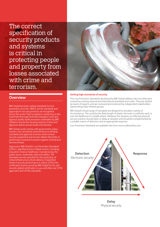The correct specification of security products and systems is critical in protecting people and property from losses associated with crime and terrorism.

### **Overview**

BRE Global has been setting standards for loss prevention since the 1800's, and its standards and approvals for security products are recognised across the world. That recognition is testimony to the extremely thorough technical evaluation work and rigorous quality audit processes undertaken by BRE Global to ensure the security products it tests and approves deliver proven levels of protection.

BRE Global works closely with government, police, insurers, risk consultants and architects to develop standards and approval schemes which ensure security equipment and services deliver the levels of performance required to protect against criminal and terrorist threats.

Approval to BRE Global's Loss Prevention Standards (LPSs) is specified across multiple sectors, including: education, finance, healthcare, manufacturing, the public sector, residential, retail and utilities. The standards are also specified for the protection of critical infrastructure where delivery of specified levels of security performance is critical. LPCB is the certification brand owned by BRE Global for fire and security related certification so you will often see 'LPCB approved' and 'LPCB's standards.



#### **Setting high standards of security**

The Loss Prevention Standards developed by BRE Global address risks not otherwise covered by existing national and international standards and codes. They are drafted by teams of experts, and are reviewed and endorsed by independent stakeholders representing major interest groups.

BRE Global's broad range of standards are designed to simulate a variety of circumstances. This could be the likely length of attack, the tools or methods used, or even the likelihood of a stealth attack. Whatever the situation, an effective physical security solution should deter or delay an attacker and should be complemented by a suitable means of detection and an appropriate response.

Loss Prevention Standards are available free from www.redbooklive.com



**Delay** Physical security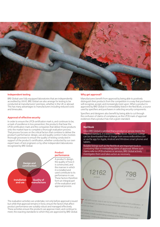

#### **Independent testing**

BRE Global uses fully equipped laboratories that are independently accredited by UKAS. BRE Global can also arrange for testing to be conducted at manufacturers' premises, whether in the UK or abroad. This has many advantages to manufacturers including reduced costs and timescales.

#### **Approval of effective security**

In order to ensure the LPCB certification mark is, and continues to be, a mark of excellence in loss prevention; the products that bear the LPCB certification mark and the companies that deliver those products onto the market have to complete a thorough evaluation process. That process focuses on the critical factors that combine to deliver the product's performance: design, use and quality control. It also involves thorough processes to ensure the quality of testing conducted in support of the product's certification, whether conducted by our own expert team of test engineers or by other independent laboratories recognised by BRE Global.



#### The evaluation activities we undertake, not only before approval is issued but while that approval remains in force, ensure the factors that affect product performance are suitably robust and managed effectively. These activities ensure the products we approve meet, and continue to meet, the exacting standards to which they are approved by BRE Global.

#### **Why get approval?**

Manufacturers benefit from approval by being able to positively distinguish their products from the competition in a way that purchasers will recognise, accept, and increasingly insist upon. When a product is approved by BRE Global it is immediately listed in the Red Book, a source used by specifiers and purchasers in selecting security components.

Specifiers and designers also benefit by being able to cut through the confusion of claims of compliance, as the LPCB mark of approval evidences that a product has met a given standard.

#### **Red Book**

Once BRE Global is satisfied that a product or service meets the required standard, it is listed in the 'Red Book'. Red book listings can be downloaded free of charge from www.redbooklive.com or via the app for Apple, Android and Windows smart phones and tablets.

Reliable listings such as the Red Book are important tools in combating false or misleading claims of approval. Where such claims refer to LPCB schemes or services, BRE Global actively investigates them and takes action as necessary.



FILS APP is a fatt, easy to use tool for winfring claims of LPCB certification - if<br>it is lated here, you know the product/service has certificated certification - if If is listed here, you know the product/service has certification from LPCB.<br>You can hust: you know the product/service has certification from LPCB, at and you can must

**CB Wilhels for Lotix Prevention Certification Board – a certification brand of BRE**<br>You! Limited, a wholly owned trading subsidiary of the BRE Thus to and of BRE<br><sup>Reigh</sup> charity), LPCR in me **bal Limited, a wholly owner Centeration Board – a centecation bratter**<br><sup>Renth</sup> charity) LPCB is the spirroval critics of the BRE Trust (a reg<br>inty profile) LPCB is the spirroval critics colored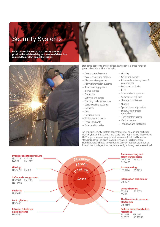# Security Systems

**LPCB approval ensures that security products provide the reliable delay and means of detection required to protect against intrusion.**





Standards, approvals and Red Book listings cover a broad range of potential solutions. These include:

- Access control systems
- Access covers and hatches
- Alarm receiving centres
- Alarm transmission systems
- Asset marking systems
- Bicycle storage
- Biometrics
- Cabinets and cages
- Cladding and roof systems
- Curtain walling systems
- Cylinders
- Doors
- Electronic locks
- Enclosures and kiosks
- Fences and walls
- Gates and turnstiles
- Glazing
- Grilles and barsets
- Intruder detection systems & components
- Locks and padlocks
- RFID
- Safes and strongrooms
- Secure asset registers
- Sheds and tool stores
- Shutters
- Specialist security devices
- Supervised premises transceivers
- Theft resistant assets
- Vehicle barriers
- Windows and roof lights

An effective security strategy concentrates not only on one particular element, but addresses each and every 'layer' applicable to the scenario. LPCB approves security equipment to various British and European standards, as well as its own world-renowned Loss Prevention Standards (LPS). These allow specifiers to select appropriate products for each security layer, from the perimeter right through to the asset itself.

| <b>Intruder-resistant products</b><br><b>LPS 1175</b><br><b>LPS 2081</b><br>EN 1627<br><b>PAS 24</b> | perimeter<br>Facade | <b>Alarm receiving and</b><br>alarm transmission<br>LPS 1020<br><b>LPS 1277</b><br>EN 50136    |
|------------------------------------------------------------------------------------------------------|---------------------|------------------------------------------------------------------------------------------------|
| <b>Glazing</b><br><b>LPS 1270</b><br><b>EN 356</b>                                                   | dernals             | <b>Asset marking</b><br>LPS 1224 LPS 1225                                                      |
| <b>Safes and strongrooms</b><br>EN 1143<br><b>LPS 1183</b><br>EN 14450                               | <b>Asset</b>        | <b>Information technology</b><br><b>LPS 1214</b>                                               |
| <b>Padlocks</b><br>LPS 1654                                                                          |                     | <b>Vehicle barriers</b><br><b>PAS 68</b><br>LPS 1175<br>IWA14                                  |
| <b>Lock cylinders</b><br>LPS 1242                                                                    |                     | <b>Theft resistant consumer</b><br>electronics<br>LPS 1650                                     |
| Intruder & hold-up<br>alarm systems<br>EN 50131                                                      |                     | <b>Ballistic protection/bullet</b><br>resistance<br>EN 1063<br>EN 1522<br>ISO 16935<br>EN 1523 |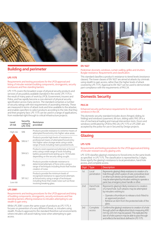

# **Building and perimeter**

#### **LPS 1175**

Requirements and testing procedures for the LPCB approval and listing of intruder resistant building components, strongpoints, security enclosures and free-standing barriers.

LPS 1175 covers the broadest scope of physical security products and services of any publicly available standard in the world. LPS 1175 is the result of many years of work by LPCB, Government, Insurers and Police, and has rapidly become a core element of physical security specification across many sectors. The standard comprises a number of security ratings with test requirements of ascending intensity. These are measured in terms of attack tools and time available to the attacker, and enables specifiers to select products according to the risks that they and their property face. LPS 1175 can be used in a range of applications, from residential right through to critical infrastructure projects.

| Level<br>of risk | Security<br>rating to<br><b>LPS 1175</b> | Resistance<br>provided                                                                                                                                                                                                 |
|------------------|------------------------------------------|------------------------------------------------------------------------------------------------------------------------------------------------------------------------------------------------------------------------|
| High risk        | SR <sub>8</sub>                          | Products provide resistance to extreme means of<br>attempted forced entry into higher value areas.                                                                                                                     |
|                  | SR6 & 7                                  | Products provide high levels of resistance to<br>professional means of attempted forced entry<br>into higher value storage areas using a wide<br>range of tools including mains powered tools.                         |
|                  | SR4 & 5                                  | Products resist experienced attempts at forced<br>entry using a wide range of tools including<br>battery powered tools lasting up to 10 minutes<br>depending on the security rating sought.                            |
|                  | SR <sub>3</sub>                          | Products provide moderate resistance to<br>determined attempts of force entry using a<br>range of techniques including those that involve<br>creation of noise.                                                        |
| Low risk         | SR1 & 2                                  | Products provide the minimum levels of<br>recognised resistance to opportunist attempts<br>at forced entry using a range of techniques<br>including those that create noise such as those<br>involving breaking glass. |

#### **LPS 2081**

Requirements and testing procedures for the LPCB approval and listing of building components, strongpoints, security enclosures and free standing barriers offering resistance to intruders attempting to use stealth to gain entry.

While LPS 2081 covers the same scope of products as LPS 1175, it focuses on prevention of a very different threat, i.e. intruders using stealth. Products approved to the standard therefore suit environments where intruders will avoid making noise when attempting to gain access.



#### **EN 1627**

Pedestrian doorsets, windows, curtain walling, grilles and shutters. Burglar resistance. Requirements and classification.

This standard classifies a product's resistance to tiered levels (resistance classes). The lower classes of EN 1627 are aimed at attacks by criminals using stealth to gain access, rather than the higher levels of attack covered by LPS 1175. Approval to EN 1627 can be used to demonstrate part-compliance with the requirements of PAS 24.

# **Domestic Security**

#### **PAS 24**

#### Enhanced security performance requirements for doorsets and windows in the UK.

This domestic security standard includes doors (hinged, sliding, bifolding) and windows (casement, tilt-turn, sliding sash). PAS 24 is a mix of mechanical loading and manual intervention tests. Doors and windows certificated by LPCB to PAS 24, LPS 1175 or LPS 2081 are accepted by the police for use in Secured by Design projects.

# **Glazing**

#### **LPS 1270**

#### Requirements and testing procedures for the LPCB approval and listing of intruder resistant security glazing units.

LPS 1270 classifies glazing's resistance to forced entry to the same levels as specified in LPS 1175. The classification is represented by 3 digits; these signify the glazing's resistance to local penetration, hand hole access, and complete access.

| <b>Digit</b>    | <b>Type</b>          | <b>Description</b>                                                                                                                                                                                                                                                            |
|-----------------|----------------------|-------------------------------------------------------------------------------------------------------------------------------------------------------------------------------------------------------------------------------------------------------------------------------|
| 1st             | Local<br>penetration | Represents glazing's likely resistance to creation of a<br>hole through which a piece of wire, screwdriver, lever<br>or other such device can be passed. Such attacks<br>may be attempted by intruders wishing to operate a<br>panic bar, emergency lever handle or other.    |
| 2 <sub>nd</sub> | Hand hole<br>access  | Represents glazing's likely resistance to creation<br>of a hand hole. Such attacks may be attempted<br>by intruders wishing to:                                                                                                                                               |
|                 |                      | - Operate a thumbturn to release a lock fitted to<br>an approved product.<br>- Retrieve an item from the protected side of the<br>glass.                                                                                                                                      |
| 3rd             | Complete<br>access   | Confirms the glazing's resistance to creation of a hole<br>through which an elliptical test block measuring 400<br>mm by 225 mm may be passed. This replicates the<br>size of a hole a person may be able to pass through<br>and reflects the test block defined in LPS 1175. |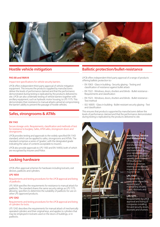

# **Hostile vehicle mitigation**

#### **PAS 68 and IWA14**

#### Impact test specifications for vehicle security barriers.

LPCB offers independent third-party approval of vehicle mitigation equipment. This ensures the products supplied by manufacturers deliver the levels of performance claimed and that the performance demonstrated during testing is replicated by the products delivered to site. LPCB can also undertake testing of vehicle barriers together with ancillary equipment, such as hydraulic motor housing, to LPS 1175. This demonstrates their resistance to manual attacks aimed at compromising the barrier's ability to prevent the passage of hostile vehicles.

# **Safes, strongrooms & ATMs**

#### **EN 1143**

#### Secure storage units. Requirements, classification and methods of test for resistance to burglary. Safes, ATM safes, strongroom doors and strongrooms.

LPCB provides testing and approvals to the widely-specified EN 1143 standard, which can be applied to safes, strongrooms and ATMs. The standard comprises a series of 'grades', with the designated grade indicating the value of contents acceptable to insurers.

LPCB also provide approvals to LPS 1183 and EN 14450, both of which are recognised by Insurers and Police.

## **Locking hardware**

LPCB offers approval schemes for hardware including locksets, exit devices, padlocks and cylinders.

#### **LPS 1654**

#### Requirements and testing procedures for the LPCB approval and listing of padlocks.

LPS 1654 specifies the requirements for resistance to manual attack for padlocks. The standard shares the same security ratings as LPS 1175, allowing specifiers to determine the suitability of padlocks for use on other LPS-approved products.

#### **LPS 1242**

#### Requirements and testing procedures for the LPCB approval and listing of cylinders for locks.

LPS 1242 describes the requirements for manual attack of mechanically operated cylinders and their original keys, and applies to cylinders that may be employed in locksets used on the doors of buildings, or in padlocks.

# **Ballistic protection/bullet-resistance**

LPCB offers independent third-party approval of a range of products offering ballistic protection to:-

- EN 1063 Glass in building Security glazing Testing and classification of resistance against bullet attack
- EN 1522 Windows, doors, shutters and blinds Bullet resistance Requirements and classification
- EN 1523 Windows, doors, shutters and blinds Bullet resistance Test method
- ISO 16935 Glass in building Bullet-resistant security glazing Test and classification

This ensures that products supported by manufacturers deliver the levels of performance claimed and that the performance demonstrated during testing is replicated by the products delivered to site.

#### **Installation, Service and Maintenance**

It is critical that doors and shutters are appropriately installed and maintained, as poor installation can undermine a product's security performance. LPCB offers the following schemes relating to installation, inspection, service and maintenance:

#### **LPS 1197:**

Requirements for companies inspecting, repairing and maintaining security doors, doorsets and shutters.

#### **LPS 1271:**

Requirements for LPCB approval and listing of companies installing fire and security doors doorsets and shutters.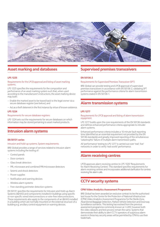

# **Asset marking and databases**

#### **LPS 1225**

#### Requirements for the LPCB approval and listing of asset marking systems.

LPS 1225 specifies the requirements for the composition and performance of an asset marking system such that, when used according to the manufacturer's instructions, the asset marking device may both:

- Enable the marked asset to be traced back to the legal owner via a secure database register (see below), and
- Act as a theft deterrent in the first instance by virtue of known existence.

#### **LPS 1224**

#### Requirements for secure database registers.

LPS 1224 sets out the requirements for secure databases on which information may be stored pertaining to asset marked products.

### **Intrusion alarm systems**

#### **EN 50131 series**

#### Intrusion and hold-up systems. System requirements.

BRE Global provides a range of services related to intrusion alarm systems including the testing of:

- Control panels
- Door contacts
- Glass break detectors
- PIR, microwave and combined PIR/microwave detectors
- Seismic and shock detectors
- Power supplies
- Notification and warning devices
- Wireless alarm systems
- Free-standing perimeter detection systems

EN 50131 specifies the requirements for Intrusion and Hold-up Alarm Systems (I&HAS) and components installed in buildings using specific or non-specific wired interconnections or wire-free interconnections. These requirements also apply to the components of an I&HAS installed in a building which are normally mounted on the external structure of a building e.g. ancillary control equipment or warning devices.

# **Supervised premises transceivers**

#### **EN 50136-2**

#### Requirements for Supervised Premises Transceiver (SPT)

BRE Global can provide testing and LPCB approval of supervised premises transceivers in accordance with EN 50136-2, validating SPT performance against the performance criteria for alarm transmission systems stated in EN 50136-1.

# **Alarm transmission systems**

#### **LPS 1277**

#### Requirements for LPCB approval and listing of alarm transmission equipment.

LPS 1277 builds upon the core requirements of the EN 50136 standards and defines enhanced performance criteria appropriate to intruder alarm systems.

Enhanced performance criteria includes a 10 minute fault reporting time (identified as an essential requirement not provided by the EN 50136 standards) and greatly improved reporting of the simultaneous 'catastrophic' failure of multiple alarm transmission paths.

All 'performance' testing to LPS 1277 is carried out over 'real', 'live' networks in order to verify 'real world' performance.

# **Alarm receiving centres**

LPCB approves alarm receiving centres to LPS 1020 'Requirements for Alarm Receiving Centres'. This standard specifies requirements for alarm receiving centres and incorporates additional clarification for centres receiving fire alarm calls.

# **CCTV security systems**

#### **CPNI Video Analytics Assessment Programme**

BRE Global has been awarded an exclusive contract to be the authorised test house for the Centre for the Protection of National Infrastructure (CPNI) Video Analytics Assessment Programme for the Sterile Zone, Abandoned Baggage Detection, Parked Vehicle Detection and Doorway Surveillance scenarios. This testing has evolved from the previous assessment programme commonly known as 'i-LIDS', however both the video datasets and test process remain the same. Systems that demonstrate their ability to alert CCTV operators of suspicious alarm events in these key security areas will be permitted by CPNI to use their trademark.